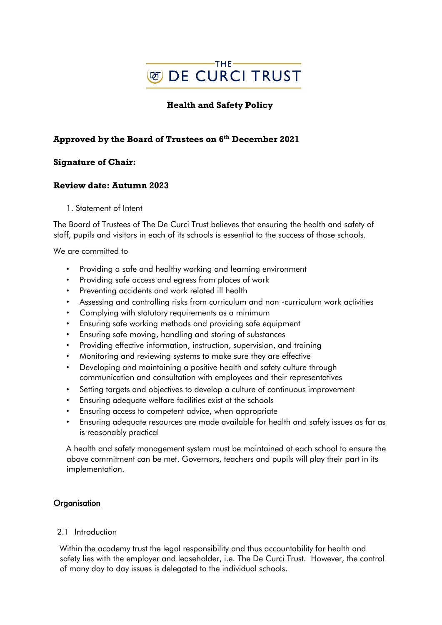

# **Health and Safety Policy**

# **Approved by the Board of Trustees on 6 th December 2021**

## **Signature of Chair:**

## **Review date: Autumn 2023**

1. Statement of Intent

The Board of Trustees of The De Curci Trust believes that ensuring the health and safety of staff, pupils and visitors in each of its schools is essential to the success of those schools.

We are committed to

- Providing a safe and healthy working and learning environment
- Providing safe access and egress from places of work
- Preventing accidents and work related ill health
- Assessing and controlling risks from curriculum and non -curriculum work activities
- Complying with statutory requirements as a minimum
- Ensuring safe working methods and providing safe equipment
- Ensuring safe moving, handling and storing of substances
- Providing effective information, instruction, supervision, and training
- Monitoring and reviewing systems to make sure they are effective
- Developing and maintaining a positive health and safety culture through communication and consultation with employees and their representatives
- Setting targets and objectives to develop a culture of continuous improvement
- Ensuring adequate welfare facilities exist at the schools
- Ensuring access to competent advice, when appropriate
- Ensuring adequate resources are made available for health and safety issues as far as is reasonably practical

A health and safety management system must be maintained at each school to ensure the above commitment can be met. Governors, teachers and pupils will play their part in its implementation.

#### **Organisation**

#### 2.1 Introduction

Within the academy trust the legal responsibility and thus accountability for health and safety lies with the employer and leaseholder, i.e. The De Curci Trust. However, the control of many day to day issues is delegated to the individual schools.